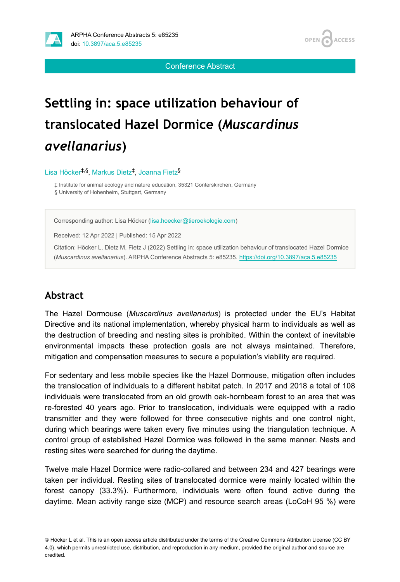

Conference Abstract

# **Settling in: space utilization behaviour of translocated Hazel Dormice (***Muscardinus avellanarius***)**

Lisa Höcker<sup>‡,§</sup>, Markus Dietz<sup>‡</sup>, Joanna Fietz<sup>§</sup>

‡ Institute for animal ecology and nature education, 35321 Gonterskirchen, Germany

§ University of Hohenheim, Stuttgart, Germany

Corresponding author: Lisa Höcker ([lisa.hoecker@tieroekologie.com](mailto:lisa.hoecker@tieroekologie.com))

Received: 12 Apr 2022 | Published: 15 Apr 2022

Citation: Höcker L, Dietz M, Fietz J (2022) Settling in: space utilization behaviour of translocated Hazel Dormice (*Muscardinus avellanarius*). ARPHA Conference Abstracts 5: e85235. <https://doi.org/10.3897/aca.5.e85235>

#### **Abstract**

The Hazel Dormouse (*Muscardinus avellanarius*) is protected under the EU's Habitat Directive and its national implementation, whereby physical harm to individuals as well as the destruction of breeding and nesting sites is prohibited. Within the context of inevitable environmental impacts these protection goals are not always maintained. Therefore, mitigation and compensation measures to secure a population's viability are required.

For sedentary and less mobile species like the Hazel Dormouse, mitigation often includes the translocation of individuals to a different habitat patch. In 2017 and 2018 a total of 108 individuals were translocated from an old growth oak-hornbeam forest to an area that was re-forested 40 years ago. Prior to translocation, individuals were equipped with a radio transmitter and they were followed for three consecutive nights and one control night, during which bearings were taken every five minutes using the triangulation technique. A control group of established Hazel Dormice was followed in the same manner. Nests and resting sites were searched for during the daytime.

Twelve male Hazel Dormice were radio-collared and between 234 and 427 bearings were taken per individual. Resting sites of translocated dormice were mainly located within the forest canopy (33.3%). Furthermore, individuals were often found active during the daytime. Mean activity range size (MCP) and resource search areas (LoCoH 95 %) were

<sup>©</sup> Höcker L et al. This is an open access article distributed under the terms of the Creative Commons Attribution License (CC BY 4.0), which permits unrestricted use, distribution, and reproduction in any medium, provided the original author and source are credited.